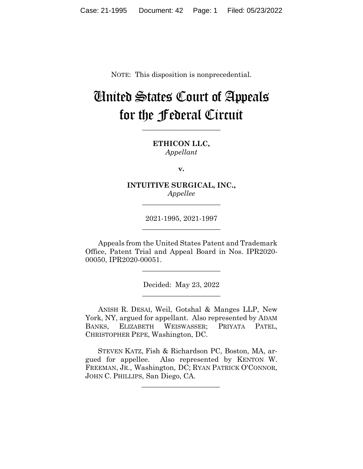NOTE: This disposition is nonprecedential.

# United States Court of Appeals for the Federal Circuit

**\_\_\_\_\_\_\_\_\_\_\_\_\_\_\_\_\_\_\_\_\_\_** 

**ETHICON LLC,** *Appellant*

**v.**

**INTUITIVE SURGICAL, INC.,** *Appellee*

**\_\_\_\_\_\_\_\_\_\_\_\_\_\_\_\_\_\_\_\_\_\_** 

2021-1995, 2021-1997 **\_\_\_\_\_\_\_\_\_\_\_\_\_\_\_\_\_\_\_\_\_\_** 

Appeals from the United States Patent and Trademark Office, Patent Trial and Appeal Board in Nos. IPR2020- 00050, IPR2020-00051.

 $\overline{\phantom{a}}$  , we can assume that the contract of  $\overline{\phantom{a}}$ 

Decided: May 23, 2022 \_\_\_\_\_\_\_\_\_\_\_\_\_\_\_\_\_\_\_\_\_\_

ANISH R. DESAI, Weil, Gotshal & Manges LLP, New York, NY, argued for appellant. Also represented by ADAM BANKS, ELIZABETH WEISWASSER; PRIYATA PATEL, CHRISTOPHER PEPE, Washington, DC.

 STEVEN KATZ, Fish & Richardson PC, Boston, MA, argued for appellee. Also represented by KENTON W. FREEMAN, JR., Washington, DC; RYAN PATRICK O'CONNOR, JOHN C. PHILLIPS, San Diego, CA.

 $\mathcal{L}_\text{max}$  and  $\mathcal{L}_\text{max}$  and  $\mathcal{L}_\text{max}$  and  $\mathcal{L}_\text{max}$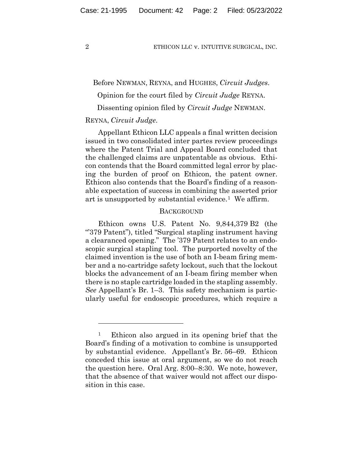Before NEWMAN, REYNA, and HUGHES, *Circuit Judges*.

Opinion for the court filed by *Circuit Judge* REYNA.

Dissenting opinion filed by *Circuit Judge* NEWMAN.

# REYNA, *Circuit Judge*.

Appellant Ethicon LLC appeals a final written decision issued in two consolidated inter partes review proceedings where the Patent Trial and Appeal Board concluded that the challenged claims are unpatentable as obvious. Ethicon contends that the Board committed legal error by placing the burden of proof on Ethicon, the patent owner. Ethicon also contends that the Board's finding of a reasonable expectation of success in combining the asserted prior art is unsupported by substantial evidence.1 We affirm.

# **BACKGROUND**

Ethicon owns U.S. Patent No. 9,844,379 B2 (the "'379 Patent"), titled "Surgical stapling instrument having a clearanced opening." The '379 Patent relates to an endoscopic surgical stapling tool. The purported novelty of the claimed invention is the use of both an I-beam firing member and a no-cartridge safety lockout, such that the lockout blocks the advancement of an I-beam firing member when there is no staple cartridge loaded in the stapling assembly. *See* Appellant's Br. 1–3. This safety mechanism is particularly useful for endoscopic procedures, which require a

Ethicon also argued in its opening brief that the Board's finding of a motivation to combine is unsupported by substantial evidence. Appellant's Br. 56–69. Ethicon conceded this issue at oral argument, so we do not reach the question here. Oral Arg. 8:00–8:30. We note, however, that the absence of that waiver would not affect our disposition in this case.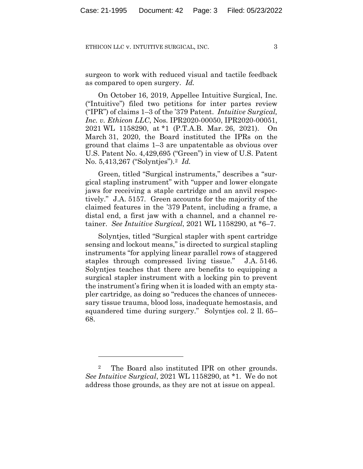surgeon to work with reduced visual and tactile feedback as compared to open surgery. *Id.*

On October 16, 2019, Appellee Intuitive Surgical, Inc. ("Intuitive") filed two petitions for inter partes review ("IPR") of claims 1–3 of the '379 Patent. *Intuitive Surgical, Inc. v. Ethicon LLC*, Nos. IPR2020-00050, IPR2020-00051, 2021 WL 1158290, at \*1 (P.T.A.B. Mar. 26, 2021). On March 31, 2020, the Board instituted the IPRs on the ground that claims 1–3 are unpatentable as obvious over U.S. Patent No. 4,429,695 ("Green") in view of U.S. Patent No. 5,413,267 ("Solyntjes").2 *Id.*

Green, titled "Surgical instruments," describes a "surgical stapling instrument" with "upper and lower elongate jaws for receiving a staple cartridge and an anvil respectively." J.A. 5157. Green accounts for the majority of the claimed features in the '379 Patent, including a frame, a distal end, a first jaw with a channel, and a channel retainer. *See Intuitive Surgical*, 2021 WL 1158290, at \*6–7.

Solyntjes, titled "Surgical stapler with spent cartridge sensing and lockout means," is directed to surgical stapling instruments "for applying linear parallel rows of staggered staples through compressed living tissue." J.A. 5146. Solyntjes teaches that there are benefits to equipping a surgical stapler instrument with a locking pin to prevent the instrument's firing when it is loaded with an empty stapler cartridge, as doing so "reduces the chances of unnecessary tissue trauma, blood loss, inadequate hemostasis, and squandered time during surgery." Solyntjes col. 2 ll. 65– 68.

<sup>2</sup> The Board also instituted IPR on other grounds. *See Intuitive Surgical*, 2021 WL 1158290, at \*1. We do not address those grounds, as they are not at issue on appeal.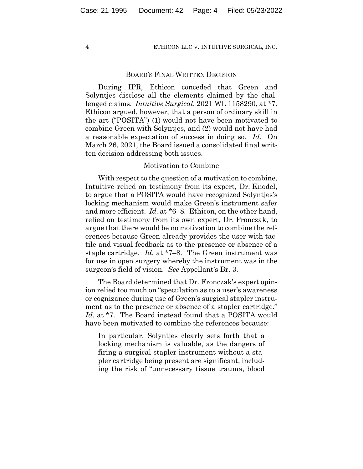#### BOARD'S FINAL WRITTEN DECISION

During IPR, Ethicon conceded that Green and Solyntjes disclose all the elements claimed by the challenged claims. *Intuitive Surgical*, 2021 WL 1158290, at \*7. Ethicon argued, however, that a person of ordinary skill in the art ("POSITA") (1) would not have been motivated to combine Green with Solyntjes, and (2) would not have had a reasonable expectation of success in doing so. *Id.* On March 26, 2021, the Board issued a consolidated final written decision addressing both issues.

### Motivation to Combine

With respect to the question of a motivation to combine, Intuitive relied on testimony from its expert, Dr. Knodel, to argue that a POSITA would have recognized Solyntjes's locking mechanism would make Green's instrument safer and more efficient. *Id.* at \*6–8. Ethicon, on the other hand, relied on testimony from its own expert, Dr. Fronczak, to argue that there would be no motivation to combine the references because Green already provides the user with tactile and visual feedback as to the presence or absence of a staple cartridge. *Id.* at \*7–8. The Green instrument was for use in open surgery whereby the instrument was in the surgeon's field of vision. *See* Appellant's Br. 3.

The Board determined that Dr. Fronczak's expert opinion relied too much on "speculation as to a user's awareness or cognizance during use of Green's surgical stapler instrument as to the presence or absence of a stapler cartridge." *Id.* at \*7. The Board instead found that a POSITA would have been motivated to combine the references because:

In particular, Solyntjes clearly sets forth that a locking mechanism is valuable, as the dangers of firing a surgical stapler instrument without a stapler cartridge being present are significant, including the risk of "unnecessary tissue trauma, blood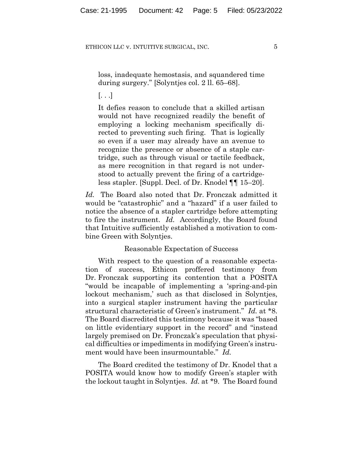loss, inadequate hemostasis, and squandered time during surgery." [Solyntjes col. 2 ll. 65–68].

 $\left[ \ldots \right]$ 

It defies reason to conclude that a skilled artisan would not have recognized readily the benefit of employing a locking mechanism specifically directed to preventing such firing. That is logically so even if a user may already have an avenue to recognize the presence or absence of a staple cartridge, such as through visual or tactile feedback, as mere recognition in that regard is not understood to actually prevent the firing of a cartridgeless stapler. [Suppl. Decl. of Dr. Knodel ¶¶ 15–20].

*Id.* The Board also noted that Dr. Fronczak admitted it would be "catastrophic" and a "hazard" if a user failed to notice the absence of a stapler cartridge before attempting to fire the instrument. *Id.* Accordingly, the Board found that Intuitive sufficiently established a motivation to combine Green with Solyntjes.

#### Reasonable Expectation of Success

With respect to the question of a reasonable expectation of success, Ethicon proffered testimony from Dr. Fronczak supporting its contention that a POSITA "would be incapable of implementing a 'spring-and-pin lockout mechanism,' such as that disclosed in Solyntjes, into a surgical stapler instrument having the particular structural characteristic of Green's instrument." *Id.* at \*8. The Board discredited this testimony because it was "based on little evidentiary support in the record" and "instead largely premised on Dr. Fronczak's speculation that physical difficulties or impediments in modifying Green's instrument would have been insurmountable." *Id.*

The Board credited the testimony of Dr. Knodel that a POSITA would know how to modify Green's stapler with the lockout taught in Solyntjes. *Id.* at \*9. The Board found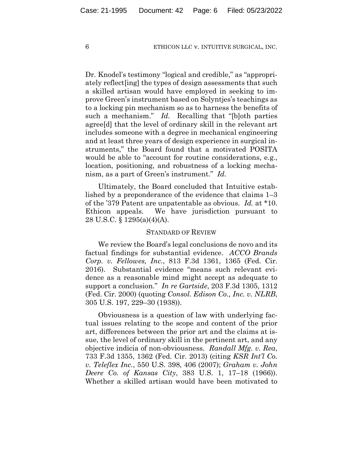Dr. Knodel's testimony "logical and credible," as "appropriately reflect[ing] the types of design assessments that such a skilled artisan would have employed in seeking to improve Green's instrument based on Solyntjes's teachings as to a locking pin mechanism so as to harness the benefits of such a mechanism." *Id.* Recalling that "[b]oth parties agree[d] that the level of ordinary skill in the relevant art includes someone with a degree in mechanical engineering and at least three years of design experience in surgical instruments," the Board found that a motivated POSITA would be able to "account for routine considerations, e.g., location, positioning, and robustness of a locking mechanism, as a part of Green's instrument." *Id.*

Ultimately, the Board concluded that Intuitive established by a preponderance of the evidence that claims 1–3 of the '379 Patent are unpatentable as obvious. *Id.* at \*10. Ethicon appeals. We have jurisdiction pursuant to 28 U.S.C. § 1295(a)(4)(A).

#### STANDARD OF REVIEW

We review the Board's legal conclusions de novo and its factual findings for substantial evidence. *ACCO Brands Corp. v. Fellowes, Inc.*, 813 F.3d 1361, 1365 (Fed. Cir. 2016). Substantial evidence "means such relevant evidence as a reasonable mind might accept as adequate to support a conclusion." *In re Gartside*, 203 F.3d 1305, 1312 (Fed. Cir. 2000) (quoting *Consol. Edison Co., Inc. v. NLRB*, 305 U.S. 197, 229–30 (1938)).

Obviousness is a question of law with underlying factual issues relating to the scope and content of the prior art, differences between the prior art and the claims at issue, the level of ordinary skill in the pertinent art, and any objective indicia of non-obviousness. *Randall Mfg. v. Rea*, 733 F.3d 1355, 1362 (Fed. Cir. 2013) (citing *KSR Int'l Co. v. Teleflex Inc.*, 550 U.S. 398, 406 (2007); *Graham v. John Deere Co. of Kansas City*, 383 U.S. 1, 17–18 (1966)). Whether a skilled artisan would have been motivated to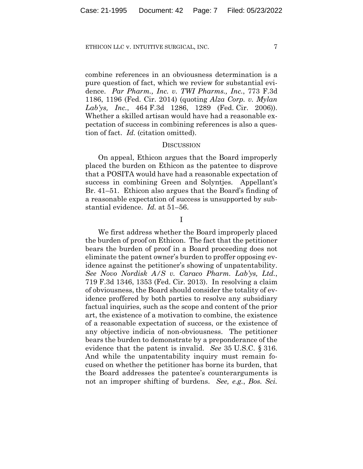combine references in an obviousness determination is a pure question of fact, which we review for substantial evidence. *Par Pharm., Inc. v. TWI Pharms., Inc.*, 773 F.3d 1186, 1196 (Fed. Cir. 2014) (quoting *Alza Corp. v. Mylan Lab'ys, Inc.*, 464 F.3d 1286, 1289 (Fed. Cir. 2006)). Whether a skilled artisan would have had a reasonable expectation of success in combining references is also a question of fact. *Id.* (citation omitted).

#### **DISCUSSION**

On appeal, Ethicon argues that the Board improperly placed the burden on Ethicon as the patentee to disprove that a POSITA would have had a reasonable expectation of success in combining Green and Solyntjes. Appellant's Br. 41–51. Ethicon also argues that the Board's finding of a reasonable expectation of success is unsupported by substantial evidence. *Id.* at 51–56.

I

We first address whether the Board improperly placed the burden of proof on Ethicon. The fact that the petitioner bears the burden of proof in a Board proceeding does not eliminate the patent owner's burden to proffer opposing evidence against the petitioner's showing of unpatentability. *See Novo Nordisk A/S v. Caraco Pharm. Lab'ys, Ltd.*, 719 F.3d 1346, 1353 (Fed. Cir. 2013). In resolving a claim of obviousness, the Board should consider the totality of evidence proffered by both parties to resolve any subsidiary factual inquiries, such as the scope and content of the prior art, the existence of a motivation to combine, the existence of a reasonable expectation of success, or the existence of any objective indicia of non-obviousness. The petitioner bears the burden to demonstrate by a preponderance of the evidence that the patent is invalid. *See* 35 U.S.C. § 316. And while the unpatentability inquiry must remain focused on whether the petitioner has borne its burden, that the Board addresses the patentee's counterarguments is not an improper shifting of burdens. *See, e.g.*, *Bos. Sci.*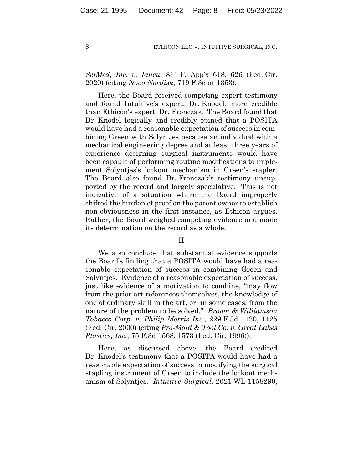# *SciMed, Inc. v. Iancu*, 811 F. App'x 618, 626 (Fed. Cir. 2020) (citing *Novo Nordisk*, 719 F.3d at 1353).

Here, the Board received competing expert testimony and found Intuitive's expert, Dr. Knodel, more credible than Ethicon's expert, Dr. Fronczak. The Board found that Dr. Knodel logically and credibly opined that a POSITA would have had a reasonable expectation of success in combining Green with Solyntjes because an individual with a mechanical engineering degree and at least three years of experience designing surgical instruments would have been capable of performing routine modifications to implement Solyntjes's lockout mechanism in Green's stapler. The Board also found Dr. Fronczak's testimony unsupported by the record and largely speculative. This is not indicative of a situation where the Board improperly shifted the burden of proof on the patent owner to establish non-obviousness in the first instance, as Ethicon argues. Rather, the Board weighed competing evidence and made its determination on the record as a whole.

# II

We also conclude that substantial evidence supports the Board's finding that a POSITA would have had a reasonable expectation of success in combining Green and Solyntjes. Evidence of a reasonable expectation of success, just like evidence of a motivation to combine, "may flow from the prior art references themselves, the knowledge of one of ordinary skill in the art, or, in some cases, from the nature of the problem to be solved." *Brown & Williamson Tobacco Corp. v. Philip Morris Inc.*, 229 F.3d 1120, 1125 (Fed. Cir. 2000) (citing *Pro-Mold & Tool Co. v. Great Lakes Plastics, Inc.*, 75 F.3d 1568, 1573 (Fed. Cir. 1996)).

Here, as discussed above, the Board credited Dr. Knodel's testimony that a POSITA would have had a reasonable expectation of success in modifying the surgical stapling instrument of Green to include the lockout mechanism of Solyntjes. *Intuitive Surgical*, 2021 WL 1158290,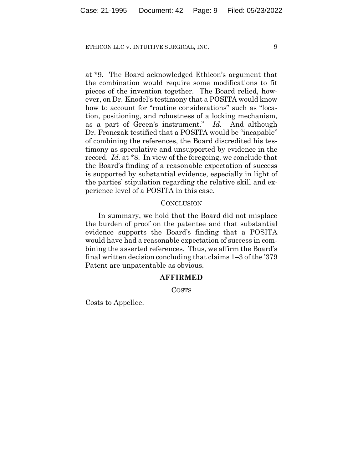at \*9. The Board acknowledged Ethicon's argument that the combination would require some modifications to fit pieces of the invention together. The Board relied, however, on Dr. Knodel's testimony that a POSITA would know how to account for "routine considerations" such as "location, positioning, and robustness of a locking mechanism, as a part of Green's instrument." *Id.* And although Dr. Fronczak testified that a POSITA would be "incapable" of combining the references, the Board discredited his testimony as speculative and unsupported by evidence in the record. *Id.* at \*8. In view of the foregoing, we conclude that the Board's finding of a reasonable expectation of success is supported by substantial evidence, especially in light of the parties' stipulation regarding the relative skill and experience level of a POSITA in this case.

## **CONCLUSION**

In summary, we hold that the Board did not misplace the burden of proof on the patentee and that substantial evidence supports the Board's finding that a POSITA would have had a reasonable expectation of success in combining the asserted references. Thus, we affirm the Board's final written decision concluding that claims 1–3 of the '379 Patent are unpatentable as obvious.

# **AFFIRMED**

COSTS

Costs to Appellee.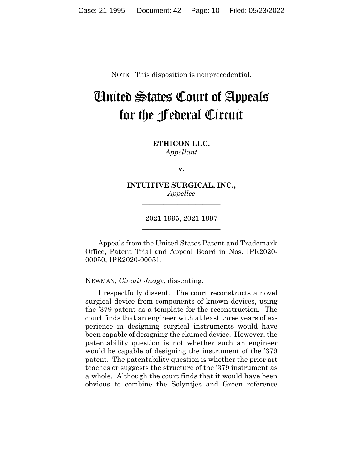NOTE: This disposition is nonprecedential.

# United States Court of Appeals for the Federal Circuit

**\_\_\_\_\_\_\_\_\_\_\_\_\_\_\_\_\_\_\_\_\_\_** 

**ETHICON LLC,** *Appellant*

**v.**

**INTUITIVE SURGICAL, INC.,** *Appellee*

**\_\_\_\_\_\_\_\_\_\_\_\_\_\_\_\_\_\_\_\_\_\_** 

2021-1995, 2021-1997 **\_\_\_\_\_\_\_\_\_\_\_\_\_\_\_\_\_\_\_\_\_\_** 

Appeals from the United States Patent and Trademark Office, Patent Trial and Appeal Board in Nos. IPR2020- 00050, IPR2020-00051.

 $\overline{\phantom{a}}$  , we can assume that the contract of  $\overline{\phantom{a}}$ 

NEWMAN, *Circuit Judge*, dissenting.

I respectfully dissent. The court reconstructs a novel surgical device from components of known devices, using the '379 patent as a template for the reconstruction. The court finds that an engineer with at least three years of experience in designing surgical instruments would have been capable of designing the claimed device. However, the patentability question is not whether such an engineer would be capable of designing the instrument of the '379 patent. The patentability question is whether the prior art teaches or suggests the structure of the '379 instrument as a whole. Although the court finds that it would have been obvious to combine the Solyntjes and Green reference